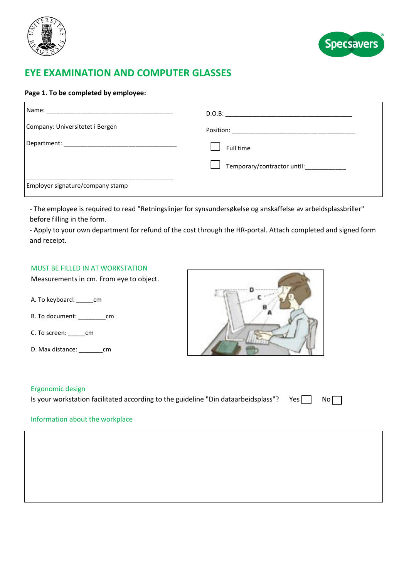



# **EYE EXAMINATION AND COMPUTER GLASSES**

## **Page 1. To be completed by employee:**

| Company: Universitetet i Bergen  |                                     |
|----------------------------------|-------------------------------------|
|                                  | Full time                           |
|                                  | $\perp$ Temporary/contractor until: |
| Employer signature/company stamp |                                     |

- The employee is required to read "Retningslinjer for synsundersøkelse og anskaffelse av arbeidsplassbriller" before filling in the form.

- Apply to your own department for refund of the cost through the HR-portal. Attach completed and signed form and receipt.

# MUST BE FILLED IN AT WORKSTATION

Measurements in cm. From eye to object.

- A. To keyboard: \_\_\_\_\_cm
- B. To document: \_\_\_\_\_\_\_\_cm
- C. To screen: \_\_\_\_\_cm
- D. Max distance: cm



#### l Ergonomic design

Is your workstation facilitated according to the guideline "Din dataarbeidsplass"? Yes  $\Box$  No $\Box$ 

### Information about the workplace